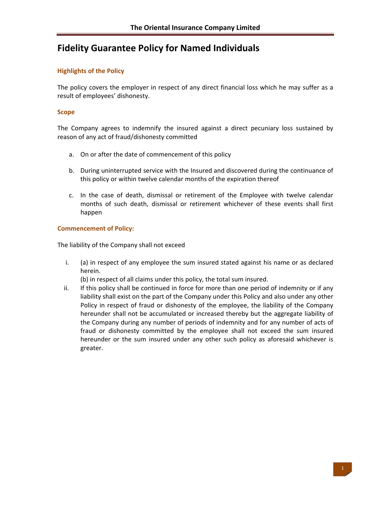# **Fidelity Guarantee Policy for Named Individuals**

## **Highlights of the Policy**

The policy covers the employer in respect of any direct financial loss which he may suffer as a result of employees' dishonesty.

### **Scope**

The Company agrees to indemnify the insured against a direct pecuniary loss sustained by reason of any act of fraud/dishonesty committed

- a. On or after the date of commencement of this policy
- b. During uninterrupted service with the Insured and discovered during the continuance of this policy or within twelve calendar months of the expiration thereof
- c. In the case of death, dismissal or retirement of the Employee with twelve calendar months of such death, dismissal or retirement whichever of these events shall first happen

### **Commencement of Policy:**

The liability of the Company shall not exceed

i. (a) in respect of any employee the sum insured stated against his name or as declared herein.

(b) in respect of all claims under this policy, the total sum insured.

ii. If this policy shall be continued in force for more than one period of indemnity or if any liability shall exist on the part of the Company under this Policy and also under any other Policy in respect of fraud or dishonesty of the employee, the liability of the Company hereunder shall not be accumulated or increased thereby but the aggregate liability of the Company during any number of periods of indemnity and for any number of acts of fraud or dishonesty committed by the employee shall not exceed the sum insured hereunder or the sum insured under any other such policy as aforesaid whichever is greater.